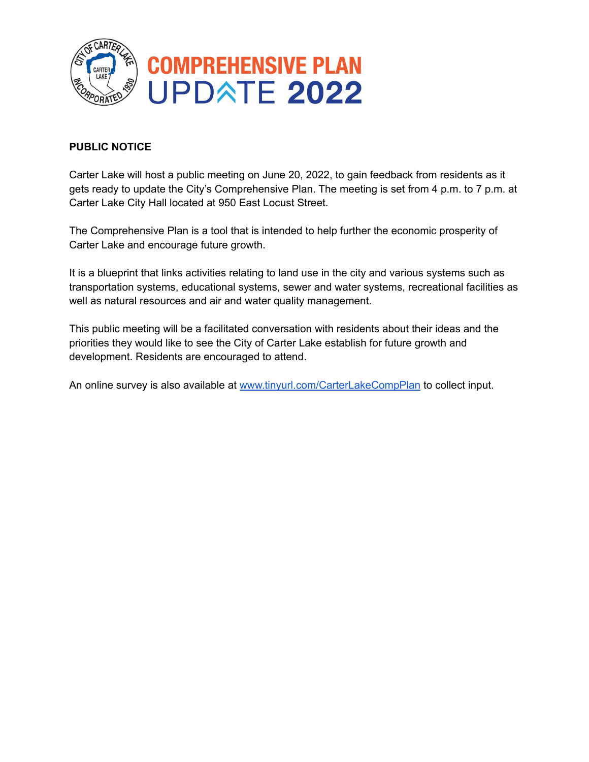

#### **PUBLIC NOTICE**

Carter Lake will host a public meeting on June 20, 2022, to gain feedback from residents as it gets ready to update the City's Comprehensive Plan. The meeting is set from 4 p.m. to 7 p.m. at Carter Lake City Hall located at 950 East Locust Street.

The Comprehensive Plan is a tool that is intended to help further the economic prosperity of Carter Lake and encourage future growth.

It is a blueprint that links activities relating to land use in the city and various systems such as transportation systems, educational systems, sewer and water systems, recreational facilities as well as natural resources and air and water quality management.

This public meeting will be a facilitated conversation with residents about their ideas and the priorities they would like to see the City of Carter Lake establish for future growth and development. Residents are encouraged to attend.

An online survey is also available at [www.tinyurl.com/CarterLakeCompPlan](http://www.tinyurl.com/CarterLakeCompPlan) to collect input.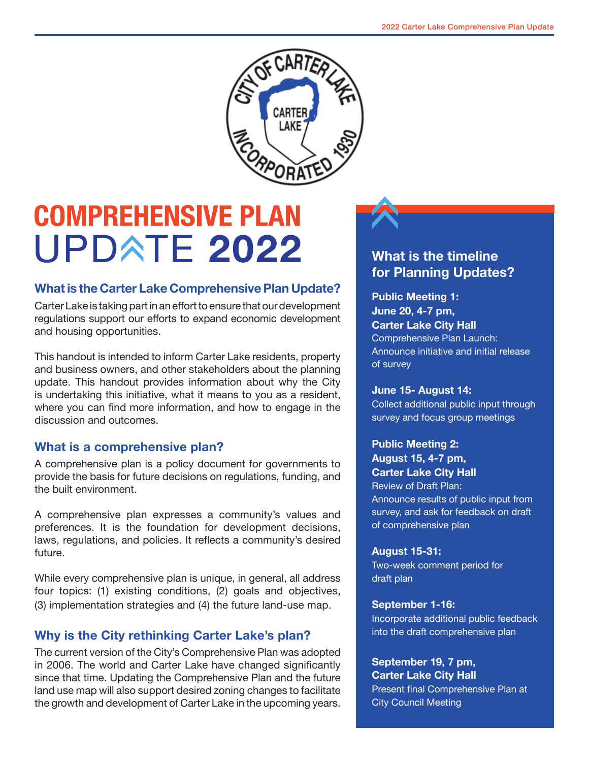

# **COMPREHENSIVE PLAN UPDATE 2022**

### **What is the Carter Lake Comprehensive Plan Update?**

Carter Lake is taking part in an effort to ensure that our development regulations support our efforts to expand economic development and housing opportunities.

This handout is intended to inform Carter Lake residents, property and business owners, and other stakeholders about the planning update. This handout provides information about why the City is undertaking this initiative, what it means to you as a resident, where you can find more information, and how to engage in the discussion and outcomes.

#### **What is a comprehensive plan?**

A comprehensive plan is a policy document for governments to provide the basis for future decisions on regulations, funding, and the built environment.

A comprehensive plan expresses a community's values and preferences. It is the foundation for development decisions, laws, regulations, and policies. It reflects a community's desired future.

While every comprehensive plan is unique, in general, all address four topics: (1) existing conditions, (2) goals and objectives, (3) implementation strategies and (4) the future land-use map.

### **Why is the City rethinking Carter Lake's plan?**

The current version of the City's Comprehensive Plan was adopted in 2006. The world and Carter Lake have changed significantly since that time. Updating the Comprehensive Plan and the future land use map will also support desired zoning changes to facilitate the growth and development of Carter Lake in the upcoming years.

## **What is the timeline for Planning Updates?**

#### **Public Meeting 1: June 20, 4-7 pm, Carter Lake City Hall** Comprehensive Plan Launch: Announce initiative and initial release of survey

#### **June 15- August 14:**

Collect additional public input through survey and focus group meetings

#### **Public Meeting 2:**

**August 15, 4-7 pm, Carter Lake City Hall**

Review of Draft Plan: Announce results of public input from survey, and ask for feedback on draft of comprehensive plan

#### **August 15-31:**

Two-week comment period for draft plan

#### **September 1-16:**

Incorporate additional public feedback into the draft comprehensive plan

#### **September 19, 7 pm, Carter Lake City Hall**

Present final Comprehensive Plan at City Council Meeting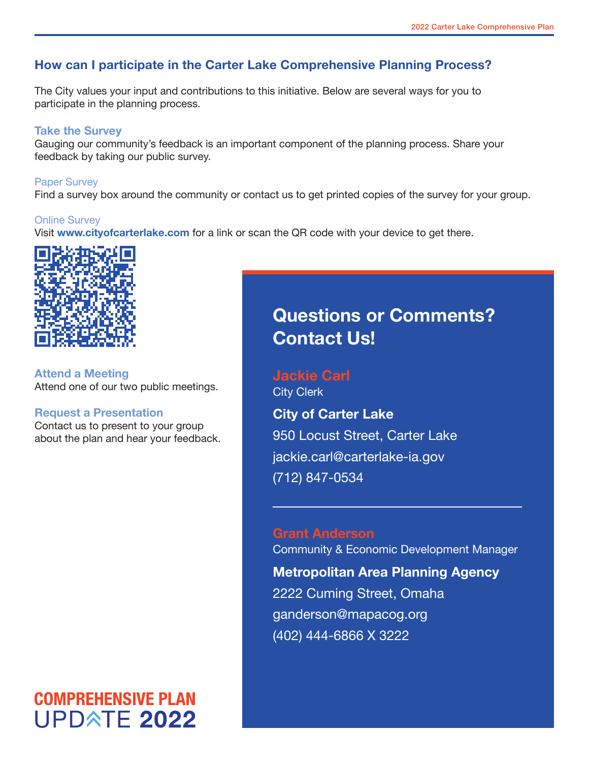## **How can I participate in the Carter Lake Comprehensive Planning Process?**

The City values your input and contributions to this initiative. Below are several ways for you to participate in the planning process.

#### **Take the Survey**

Gauging our community's feedback is an important component of the planning process. Share your feedback by taking our public survey.

#### Paper Survey

Find a survey box around the community or contact us to get printed copies of the survey for your group.

#### Online Survey

Visit **www.cityofcarterlake.com** for a link or scan the QR code with your device to get there.



**Attend a Meeting**  Attend one of our two public meetings.

#### **Request a Presentation**

Contact us to present to your group about the plan and hear your feedback.

# **COMPREHENSIVE PLAN UPDATE 2022**

# **Questions or Comments? Contact Us!**

**Jackie Carl** City Clerk

**City of Carter Lake**  950 Locust Street, Carter Lake jackie.carl@carterlake-ia.gov (712) 847-0534

**Grant Anderson** Community & Economic Development Manager **Metropolitan Area Planning Agency** 2222 Cuming Street, Omaha ganderson@mapacog.org (402) 444-6866 X 3222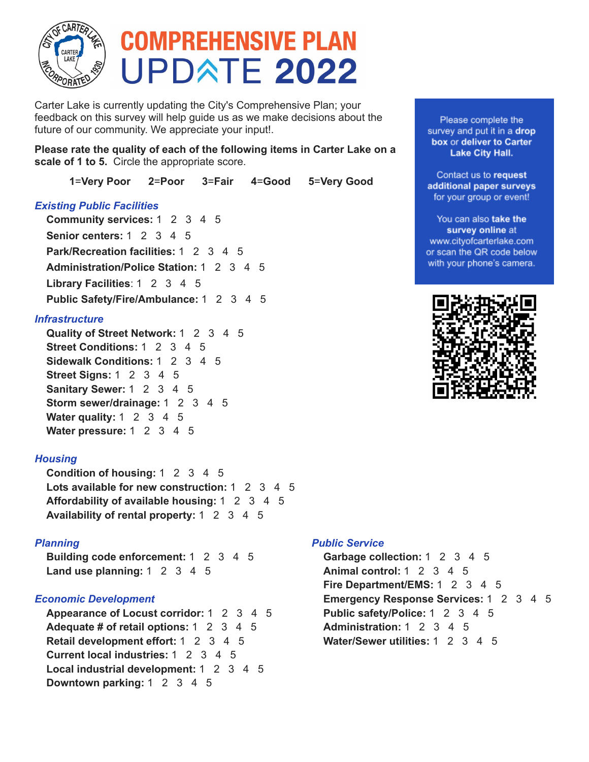

# **COMPREHENSIVE PLAN UPDATE 2022**

Carter Lake is currently updating the City's Comprehensive Plan; your feedback on this survey will help guide us as we make decisions about the future of our community. We appreciate your input!.

**Please rate the quality of each of the following items in Carter Lake on a scale of 1 to 5.** Circle the appropriate score.

**1**=**Very Poor 2**=**Poor 3**=**Fair 4**=**Good 5**=**Very Good**

#### *Existing Public Facilities*

**Community services:** 1 2 3 4 5 **Senior centers:** 1 2 3 4 5 **Park/Recreation facilities:** 1 2 3 4 5 **Administration/Police Station:** 1 2 3 4 5 **Library Facilities**: 1 2 3 4 5 **Public Safety/Fire/Ambulance:** 1 2 3 4 5

#### *Infrastructure*

**Quality of Street Network:** 1 2 3 4 5 **Street Conditions:** 1 2 3 4 5 **Sidewalk Conditions:** 1 2 3 4 5 **Street Signs:** 1 2 3 4 5 **Sanitary Sewer:** 1 2 3 4 5 **Storm sewer/drainage:** 1 2 3 4 5 **Water quality:** 1 2 3 4 5 **Water pressure:** 1 2 3 4 5

#### *Housing*

**Condition of housing:** 1 2 3 4 5 **Lots available for new construction:** 1 2 3 4 5 **Affordability of available housing:** 1 2 3 4 5 **Availability of rental property:** 1 2 3 4 5

#### *Planning*

**Building code enforcement:** 1 2 3 4 5 **Land use planning:** 1 2 3 4 5

#### *Economic Development*

**Appearance of Locust corridor:** 1 2 3 4 5 **Adequate # of retail options:** 1 2 3 4 5 **Retail development effort:** 1 2 3 4 5 **Current local industries:** 1 2 3 4 5 **Local industrial development:** 1 2 3 4 5 **Downtown parking:** 1 2 3 4 5

#### *Public Service*

**Garbage collection:** 1 2 3 4 5 **Animal control:** 1 2 3 4 5 **Fire Department/EMS:** 1 2 3 4 5 **Emergency Response Services:** 1 2 3 4 5 **Public safety/Police:** 1 2 3 4 5 **Administration:** 1 2 3 4 5 **Water/Sewer utilities:** 1 2 3 4 5

Please complete the survey and put it in a drop box or deliver to Carter **Lake City Hall.** 

Contact us to request additional paper surveys for your group or event!

You can also take the survey online at www.cityofcarterlake.com or scan the QR code below with your phone's camera.

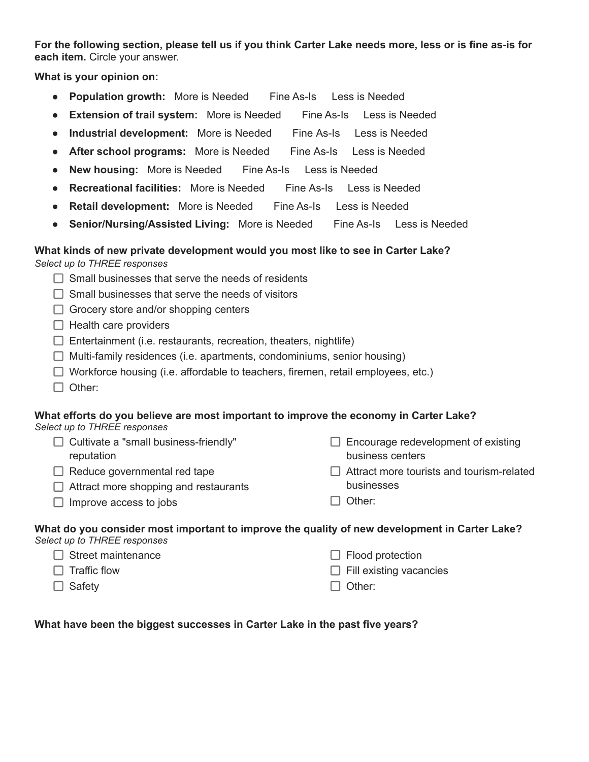For the following section, please tell us if you think Carter Lake needs more, less or is fine as-is for **each item.** Circle your answer.

**What is your opinion on:**

- **Population growth:** More is Needed Fine As-Is Less is Needed
- **Extension of trail system:** More is Needed Fine As-Is Less is Needed
- **Industrial development:** More is Needed Fine As-Is Less is Needed
- **After school programs:** More is Needed Fine As-Is Less is Needed
- **New housing:** More is Needed Fine As-Is Less is Needed
- **Recreational facilities:** More is Needed Fine As-Is Less is Needed
- **Retail development:** More is Needed Fine As-Is Less is Needed
- **Senior/Nursing/Assisted Living:** More is Needed Fine As-Is Less is Needed

#### **What kinds of new private development would you most like to see in Carter Lake?**

*Select up to THREE responses*

- $\Box$  Small businesses that serve the needs of residents
- $\Box$  Small businesses that serve the needs of visitors
- $\Box$  Grocery store and/or shopping centers
- $\Box$  Health care providers
- $\Box$  Entertainment (i.e. restaurants, recreation, theaters, nightlife)
- $\Box$  Multi-family residences (i.e. apartments, condominiums, senior housing)
- $\Box$  Workforce housing (i.e. affordable to teachers, firemen, retail employees, etc.)
- $\Box$  Other:

#### **What efforts do you believe are most important to improve the economy in Carter Lake?** *Select up to THREE responses*

| $\Box$ Cultivate a "small business-friendly" | $\Box$ Encourage redevelopment of existing       |
|----------------------------------------------|--------------------------------------------------|
| reputation                                   | business centers                                 |
| $\Box$ Reduce governmental red tape          | $\Box$ Attract more tourists and tourism-related |
| $\Box$ Attract more shopping and restaurants | businesses                                       |
| $\Box$ Improve access to jobs                | $\Box$ Other:                                    |

#### **What do you consider most important to improve the quality of new development in Carter Lake?** *Select up to THREE responses*

| $\Box$ Street maintenance | $\Box$ Flood protection        |
|---------------------------|--------------------------------|
| $\Box$ Traffic flow       | $\Box$ Fill existing vacancies |
| $\Box$ Safety             | I   Other:                     |

**What have been the biggest successes in Carter Lake in the past five years?**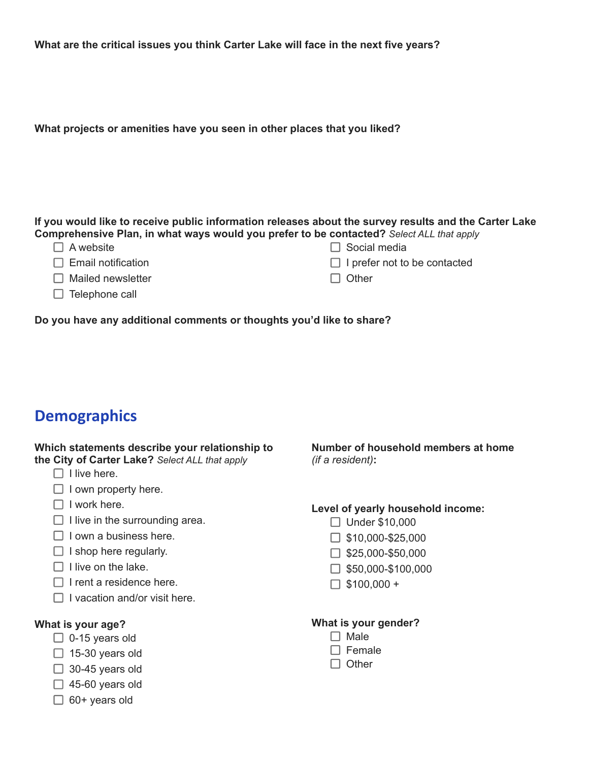|  |  | What are the critical issues you think Carter Lake will face in the next five years? |
|--|--|--------------------------------------------------------------------------------------|
|--|--|--------------------------------------------------------------------------------------|

**What projects or amenities have you seen in other places that you liked?**

#### **If you would like to receive public information releases about the survey results and the Carter Lake Comprehensive Plan, in what ways would you prefer to be contacted?** *Select ALL that apply*

 $\Box$  Social media

- $\Box$  Email notification
- $\Box$  Mailed newsletter
- $\Box$  Telephone call

 $\Box$  I prefer not to be contacted  $\Box$  Other

**Do you have any additional comments or thoughts you'd like to share?**

# **Demographics**

#### **Which statements describe your relationship to the City of Carter Lake?** *Select ALL that apply*

- $\Box$  I live here.
- $\Box$  I own property here.
- $\Box$  I work here.
- $\Box$  I live in the surrounding area.
- $\Box$  I own a business here.
- $\Box$  I shop here regularly.
- $\Box$  I live on the lake.
- $\Box$  I rent a residence here.
- $\Box$  I vacation and/or visit here.

#### **What is your age?**

- $\Box$  0-15 years old
- $\Box$  15-30 years old
- $\Box$  30-45 years old
- $\Box$  45-60 years old
- $\Box$  60+ years old

**Number of household members at home** *(if a resident)***:**

#### **Level of yearly household income:**

- □ Under \$10,000
- $\Box$  \$10,000-\$25,000
- $\Box$  \$25,000-\$50,000
- $\Box$  \$50,000-\$100,000
- $\Box$  \$100,000 +

#### **What is your gender?**

- $\Box$  Male
- $\Box$  Female
- $\Box$  Other